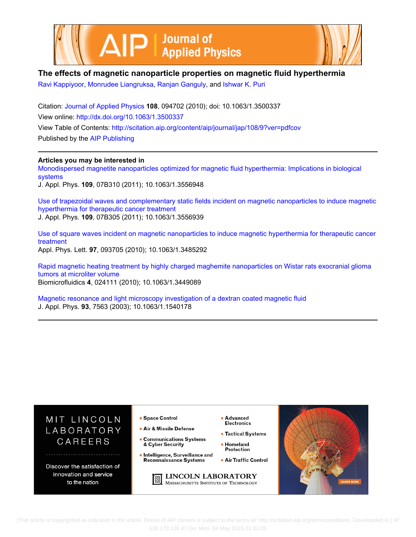



## **The effects of magnetic nanoparticle properties on magnetic fluid hyperthermia**

[Ravi Kappiyoor,](http://scitation.aip.org/search?value1=Ravi+Kappiyoor&option1=author) [Monrudee Liangruksa](http://scitation.aip.org/search?value1=Monrudee+Liangruksa&option1=author), [Ranjan Ganguly](http://scitation.aip.org/search?value1=Ranjan+Ganguly&option1=author), and [Ishwar K. Puri](http://scitation.aip.org/search?value1=Ishwar+K.+Puri&option1=author)

Citation: [Journal of Applied Physics](http://scitation.aip.org/content/aip/journal/jap?ver=pdfcov) **108**, 094702 (2010); doi: 10.1063/1.3500337 View online: <http://dx.doi.org/10.1063/1.3500337> View Table of Contents: <http://scitation.aip.org/content/aip/journal/jap/108/9?ver=pdfcov> Published by the [AIP Publishing](http://scitation.aip.org/content/aip?ver=pdfcov)

### **Articles you may be interested in**

[Monodispersed magnetite nanoparticles optimized for magnetic fluid hyperthermia: Implications in biological](http://scitation.aip.org/content/aip/journal/jap/109/7/10.1063/1.3556948?ver=pdfcov) [systems](http://scitation.aip.org/content/aip/journal/jap/109/7/10.1063/1.3556948?ver=pdfcov) J. Appl. Phys. **109**, 07B310 (2011); 10.1063/1.3556948

[Use of trapezoidal waves and complementary static fields incident on magnetic nanoparticles to induce magnetic](http://scitation.aip.org/content/aip/journal/jap/109/7/10.1063/1.3556939?ver=pdfcov) [hyperthermia for therapeutic cancer treatment](http://scitation.aip.org/content/aip/journal/jap/109/7/10.1063/1.3556939?ver=pdfcov) J. Appl. Phys. **109**, 07B305 (2011); 10.1063/1.3556939

[Use of square waves incident on magnetic nanoparticles to induce magnetic hyperthermia for therapeutic cancer](http://scitation.aip.org/content/aip/journal/apl/97/9/10.1063/1.3485292?ver=pdfcov) [treatment](http://scitation.aip.org/content/aip/journal/apl/97/9/10.1063/1.3485292?ver=pdfcov) Appl. Phys. Lett. **97**, 093705 (2010); 10.1063/1.3485292

[Rapid magnetic heating treatment by highly charged maghemite nanoparticles on Wistar rats exocranial glioma](http://scitation.aip.org/content/aip/journal/bmf/4/2/10.1063/1.3449089?ver=pdfcov) [tumors at microliter volume](http://scitation.aip.org/content/aip/journal/bmf/4/2/10.1063/1.3449089?ver=pdfcov)

Biomicrofluidics **4**, 024111 (2010); 10.1063/1.3449089

[Magnetic resonance and light microscopy investigation of a dextran coated magnetic fluid](http://scitation.aip.org/content/aip/journal/jap/93/10/10.1063/1.1540178?ver=pdfcov) J. Appl. Phys. **93**, 7563 (2003); 10.1063/1.1540178



 [This article is copyrighted as indicated in the article. Reuse of AIP content is subject to the terms at: http://scitation.aip.org/termsconditions. Downloaded to ] IP: 128.173.126.47 On: Mon, 04 May 2015 21:31:05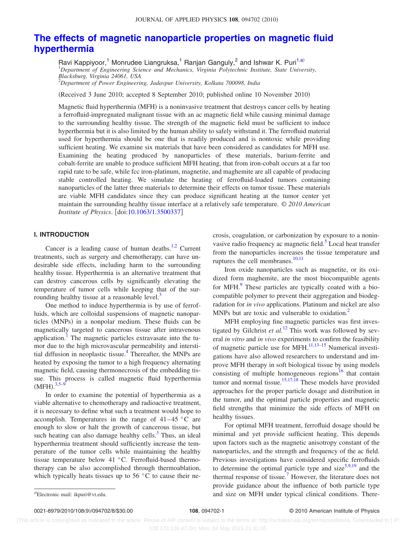# **[The effects of magnetic nanoparticle properties on magnetic fluid](http://dx.doi.org/10.1063/1.3500337) [hyperthermia](http://dx.doi.org/10.1063/1.3500337)**

Ravi Kappiyoor,<sup>1</sup> Monrudee Liangruksa,<sup>1</sup> Ranjan Ganguly,<sup>2</sup> and Ishwar K. Puri<sup>1,a)</sup><br><sup>1</sup>Department of Engineering Science and Mechanics, Virginia Polytechnic Institute, State University, *Blacksburg, Virginia 24061, USA* 2 *Department of Power Engineering, Jadavpur University, Kolkata 700098, India*

(Received 3 June 2010; accepted 8 September 2010; published online 10 November 2010)

Magnetic fluid hyperthermia (MFH) is a noninvasive treatment that destroys cancer cells by heating a ferrofluid-impregnated malignant tissue with an ac magnetic field while causing minimal damage to the surrounding healthy tissue. The strength of the magnetic field must be sufficient to induce hyperthermia but it is also limited by the human ability to safely withstand it. The ferrofluid material used for hyperthermia should be one that is readily produced and is nontoxic while providing sufficient heating. We examine six materials that have been considered as candidates for MFH use. Examining the heating produced by nanoparticles of these materials, barium-ferrite and cobalt-ferrite are unable to produce sufficient MFH heating, that from iron-cobalt occurs at a far too rapid rate to be safe, while fcc iron-platinum, magnetite, and maghemite are all capable of producing stable controlled heating. We simulate the heating of ferrofluid-loaded tumors containing nanoparticles of the latter three materials to determine their effects on tumor tissue. These materials are viable MFH candidates since they can produce significant heating at the tumor center yet maintain the surrounding healthy tissue interface at a relatively safe temperature. © *2010 American Institute of Physics.* [doi[:10.1063/1.3500337](http://dx.doi.org/10.1063/1.3500337)]

#### **I. INTRODUCTION**

Cancer is a leading cause of human deaths.<sup>1[,2](#page-8-1)</sup> Current treatments, such as surgery and chemotherapy, can have undesirable side effects, including harm to the surrounding healthy tissue. Hyperthermia is an alternative treatment that can destroy cancerous cells by significantly elevating the temperature of tumor cells while keeping that of the surrounding healthy tissue at a reasonable level. $3$ 

One method to induce hyperthermia is by use of ferrofluids, which are colloidal suspensions of magnetic nanoparticles (MNPs) in a nonpolar medium. These fluids can be magnetically targeted to cancerous tissue after intravenous application.<sup>1</sup> The magnetic particles extravasate into the tumor due to the high microvascular permeability and interstitial diffusion in neoplastic tissue.<sup>4</sup> Thereafter, the MNPs are heated by exposing the tumor to a high frequency alternating magnetic field, causing thermonecrosis of the embedding tissue. This process is called magnetic fluid hyperthermia  $(MFH).$ <sup>[3](#page-8-2)[,5–](#page-8-4)[9](#page-8-5)</sup>

In order to examine the potential of hyperthermia as a viable alternative to chemotherapy and radioactive treatment, it is necessary to define what such a treatment would hope to accomplish. Temperatures in the range of  $41-45$  °C are enough to slow or halt the growth of cancerous tissue, but such heating can also damage healthy cells. $3$  Thus, an ideal hyperthermia treatment should sufficiently increase the temperature of the tumor cells while maintaining the healthy tissue temperature below 41 °C. Ferrofluid-based thermotherapy can be also accomplished through thermoablation, which typically heats tissues up to 56 °C to cause their necrosis, coagulation, or carbonization by exposure to a noninvasive radio frequency ac magnetic field.<sup>5</sup> Local heat transfer from the nanoparticles increases the tissue temperature and ruptures the cell membranes. $10,11$  $10,11$ 

Iron oxide nanoparticles such as magnetite, or its oxidized form maghemite, are the most biocompatible agents for MFH.<sup>9</sup> These particles are typically coated with a biocompatible polymer to prevent their aggregation and biodegradation for *in vivo* applications. Platinum and nickel are also MNPs but are toxic and vulnerable to oxidation.<sup>2</sup>

MFH employing fine magnetic particles was first investigated by Gilchrist *et al.*<sup>[12](#page-8-8)</sup> This work was followed by several *in vitro* and *in vivo* experiments to confirm the feasibility of magnetic particle use for MFH[.11,](#page-8-7)[13–](#page-8-9)[15](#page-8-10) Numerical investigations have also allowed researchers to understand and improve MFH therapy in soft biological tissue by using models consisting of multiple homogeneous regions<sup>16</sup> that contain tumor and normal tissue.<sup>15,[17,](#page-8-12)[18](#page-8-13)</sup> These models have provided approaches for the proper particle dosage and distribution in the tumor, and the optimal particle properties and magnetic field strengths that minimize the side effects of MFH on healthy tissues.

For optimal MFH treatment, ferrofluid dosage should be minimal and yet provide sufficient heating. This depends upon factors such as the magnetic anisotropy constant of the nanoparticles, and the strength and frequency of the ac field. Previous investigations have considered specific ferrofluids to determine the optimal particle type and size $5,9,19$  $5,9,19$  $5,9,19$  and the thermal response of tissue.<sup>7</sup> However, the literature does not provide guidance about the influence of both particle type and size on MFH under typical clinical conditions. There-

a)Electronic mail: ikpuri@vt.edu.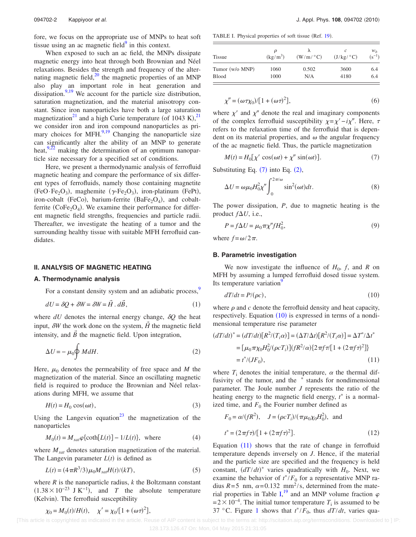fore, we focus on the appropriate use of MNPs to heat soft tissue using an ac magnetic field $9$  in this context.

When exposed to such an ac field, the MNPs dissipate magnetic energy into heat through both Brownian and Néel relaxations. Besides the strength and frequency of the alternating magnetic field, $^{20}$  the magnetic properties of an MNP also play an important role in heat generation and dissipation.<sup>9[,19](#page-8-14)</sup> We account for the particle size distribution, saturation magnetization, and the material anisotropy constant. Since iron nanoparticles have both a large saturation magnetization<sup>[21](#page-8-17)</sup> and a high Curie temperature (of 1043 K),<sup>21</sup> we consider iron and iron compound nanoparticles as pri-mary choices for MFH.<sup>9,[19](#page-8-14)</sup> Changing the nanoparticle size can significantly alter the ability of an MNP to generate heat, $9,22$  $9,22$  making the determination of an optimum nanoparticle size necessary for a specified set of conditions.

Here, we present a thermodynamic analysis of ferrofluid magnetic heating and compare the performance of six different types of ferrofluids, namely those containing magnetite  $(FeO·Fe<sub>2</sub>O<sub>3</sub>)$ , maghemite  $(\gamma$ -Fe<sub>2</sub>O<sub>3</sub>), iron-platinum (FePt), iron-cobalt (FeCo), barium-ferrite  $(BaFe<sub>2</sub>O<sub>4</sub>)$ , and cobaltferrite ( $\text{CoFe}_2\text{O}_4$ ). We examine their performance for different magnetic field strengths, frequencies and particle radii. Thereafter, we investigate the heating of a tumor and the surrounding healthy tissue with suitable MFH ferrofluid candidates.

#### **II. ANALYSIS OF MAGNETIC HEATING**

#### **A. Thermodynamic analysis**

For a constant density system and an adiabatic process,<sup>9</sup>

$$
dU = \delta Q + \delta W = \delta W = \vec{H} \cdot d\vec{B},\tag{1}
$$

where  $dU$  denotes the internal energy change,  $\delta Q$  the heat input,  $\delta W$  the work done on the system,  $\vec{H}$  the magnetic field intensity, and  $\vec{B}$  the magnetic field. Upon integration,

<span id="page-2-1"></span>
$$
\Delta U = -\mu_0 \oint M dH. \tag{2}
$$

Here,  $\mu_0$  denotes the permeability of free space and *M* the magnetization of the material. Since an oscillating magnetic field is required to produce the Brownian and Néel relaxations during MFH, we assume that

$$
H(t) = H_0 \cos(\omega t),\tag{3}
$$

Using the Langevin equation<sup>23</sup> the magnetization of the nanoparticles

$$
M_0(t) = M_{sat}\varphi\{\coth[L(t)] - 1/L(t)\}, \text{ where} \tag{4}
$$

where  $M_{sat}$  denotes saturation magnetization of the material. The Langevin parameter  $L(t)$  is defined as

$$
L(t) = (4\pi R^3/3)\mu_0 M_{sat}H(t)/(kT),
$$
\n(5)

<span id="page-2-5"></span>where  $R$  is the nanoparticle radius,  $k$  the Boltzmann constant  $(1.38 \times 10^{-23} \text{ J K}^{-1})$ , and *T* the absolute temperature (Kelvin). The ferrofluid susceptibility

$$
\chi_0 = M_0(t)/H(t), \quad \chi' = \chi_0/[1 + (\omega \tau)^2],
$$

<span id="page-2-4"></span>TABLE I. Physical properties of soft tissue (Ref. [19](#page-8-14)).

| <b>Tissue</b>   | D<br>$(kg/m^3)$ | $(W/m/{}^{\circ}C)$ | (J/kg/°C) | $W_h$<br>$(s^{-1})$ |
|-----------------|-----------------|---------------------|-----------|---------------------|
| Tumor (w/o MNP) | 1060            | 0.502               | 3600      | 6.4                 |
| <b>Blood</b>    | 1000            | N/A                 | 4180      | 6.4                 |

$$
\chi'' = (\omega \tau \chi_0) / [1 + (\omega \tau)^2],\tag{6}
$$

where  $\chi'$  and  $\chi''$  denote the real and imaginary components of the complex ferrofluid susceptibility  $\chi = \chi' - i\chi''$ . Here,  $\tau$ refers to the relaxation time of the ferrofluid that is dependent on its material properties, and  $\omega$  the angular frequency of the ac magnetic field. Thus, the particle magnetization

<span id="page-2-0"></span> $M(t) = H_0[\chi' \cos(\omega t) + \chi'' \sin(\omega t)].$  (  $(7)$ 

Substituting Eq.  $(7)$  $(7)$  $(7)$  into Eq.  $(2)$  $(2)$  $(2)$ ,

$$
\Delta U = \omega \mu_0 H_0^2 \chi'' \int_0^{2\pi/\omega} \sin^2(\omega t) dt.
$$
 (8)

The power dissipation, *P*, due to magnetic heating is the product  $f\Delta U$ , i.e.,

$$
P = f\Delta U = \mu_0 \pi \chi'' f H_0^2,\tag{9}
$$

where  $f = \omega/2\pi$ .

#### **B. Parametric investigation**

We now investigate the influence of  $H_0$ ,  $f$ , and  $R$  on MFH by assuming a lumped ferrofluid dosed tissue system. Its temperature variation<sup>9</sup>

$$
dT/dt = P/(\rho c),\tag{10}
$$

<span id="page-2-2"></span>where  $\rho$  and  $c$  denote the ferrofluid density and heat capacity, respectively. Equation ([10](#page-2-2)) is expressed in terms of a nondimensional temperature rise parameter

<span id="page-2-3"></span>
$$
(dT/dt)^* = (dT/dt)[R^2/(T_i\alpha)] = (\Delta T/\Delta t)[R^2/(T_i\alpha)] = \Delta T^* / \Delta t^*
$$
  
=  $[\mu_0 \pi \chi_0 H_0^2/(\rho c T_i)] (fR^2/\alpha) \{2\pi f \pi [1 + (2\pi f \tau)^2]\}$   
=  $t^* / (JF_0),$  (11)

where  $T_i$  denotes the initial temperature,  $\alpha$  the thermal diffusivity of the tumor, and the  $*$  stands for nondimensional parameter. The Joule number *J* represents the ratio of the heating energy to the magnetic field energy,  $t^*$  is a normalized time, and  $F_0$  the Fourier number defined as

$$
F_0 = \alpha/(fR^2)
$$
,  $J = (\rho cT_i)/(\pi \mu_0 \chi_0 H_0^2)$ , and  
 $t^* = (2\pi f \tau)/[1 + (2\pi f \tau)^2]$ . (12)

Equation  $(11)$  $(11)$  $(11)$  shows that the rate of change in ferrofluid temperature depends inversely on *J*. Hence, if the material and the particle size are specified and the frequency is held constant,  $(dT/dt)^*$  varies quadratically with  $H_0$ . Next, we examine the behavior of  $t^*/F_0$  for a representative MNP radius  $R = 5$  nm,  $\alpha = 0.132$  mm<sup>2</sup>/s, determined from the mate-rial properties in Table [I,](#page-2-4)<sup>[19](#page-8-14)</sup> and an MNP volume fraction  $\varphi$  $= 2 \times 10^{-4}$ . The initial tumor temperature *T*<sub>i</sub> is assumed to be 37 °C. Figure [1](#page-3-0) shows that  $t^*/F_0$ , thus  $dT/dt$ , varies qua-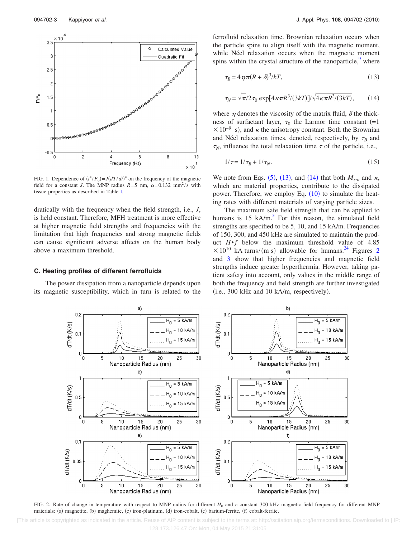<span id="page-3-0"></span>

FIG. 1. Dependence of  $(t^*/F_0) = J(dT/dt)^*$  on the frequency of the magnetic field for a constant *J*. The MNP radius  $R=5$  nm,  $\alpha=0.132$  mm<sup>2</sup>/s with tissue properties as described in Table [I.](#page-2-4)

dratically with the frequency when the field strength, i.e., *J*, is held constant. Therefore, MFH treatment is more effective at higher magnetic field strengths and frequencies with the limitation that high frequencies and strong magnetic fields can cause significant adverse affects on the human body above a maximum threshold.

#### **C. Heating profiles of different ferrofluids**

<span id="page-3-3"></span>The power dissipation from a nanoparticle depends upon its magnetic susceptibility, which in turn is related to the ferrofluid relaxation time. Brownian relaxation occurs when the particle spins to align itself with the magnetic moment, while Néel relaxation occurs when the magnetic moment spins within the crystal structure of the nanoparticle, $9$  where

<span id="page-3-1"></span>
$$
\tau_B = 4\,\eta\pi (R+\delta)^3 / kT,\tag{13}
$$

<span id="page-3-2"></span>
$$
\tau_N = \sqrt{\pi/2} \,\tau_0 \, \exp[4\kappa \pi R^3/(3k) \, \sqrt{4\kappa \pi R^3/(3k)}],\tag{14}
$$

where  $\eta$  denotes the viscosity of the matrix fluid,  $\delta$  the thickness of surfactant layer,  $\tau_0$  the Larmor time constant  $(=1)$  $\times 10^{-9}$  s), and  $\kappa$  the anisotropy constant. Both the Brownian and Néel relaxation times, denoted, respectively, by  $\tau_B$  and  $\tau_N$ , influence the total relaxation time  $\tau$  of the particle, i.e.,

$$
1/\tau = 1/\tau_B + 1/\tau_N. \tag{15}
$$

We note from Eqs.  $(5)$  $(5)$  $(5)$ ,  $(13)$  $(13)$  $(13)$ , and  $(14)$  $(14)$  $(14)$  that both  $M_{sat}$  and  $\kappa$ , which are material properties, contribute to the dissipated power. Therefore, we employ Eq.  $(10)$  $(10)$  $(10)$  to simulate the heating rates with different materials of varying particle sizes.

The maximum safe field strength that can be applied to humans is 15 kA/m. $3$  For this reason, the simulated field strengths are specified to be 5, 10, and 15 kA/m. Frequencies of 150, 300, and 450 kHz are simulated to maintain the product *H*•*f* below the maximum threshold value of 4.85  $\times 10^{10}$  kA turns/(m s) allowable for humans.<sup>[2](#page-3-3)4</sup> Figures 2 and [3](#page-4-0) show that higher frequencies and magnetic field strengths induce greater hyperthermia. However, taking patient safety into account, only values in the middle range of both the frequency and field strength are further investigated (i.e., 300 kHz and 10 kA/m, respectively).



FIG. 2. Rate of change in temperature with respect to MNP radius for different  $H_0$  and a constant 300 kHz magnetic field frequency for different MNP materials: (a) magnetite, (b) maghemite, (c) iron-platinum, (d) iron-cobalt, (e) barium-ferrite, (f) cobalt-ferrite.

 <sup>[</sup>This article is copyrighted as indicated in the article. Reuse of AIP content is subject to the terms at: http://scitation.aip.org/termsconditions. Downloaded to ] IP: 128.173.126.47 On: Mon, 04 May 2015 21:31:05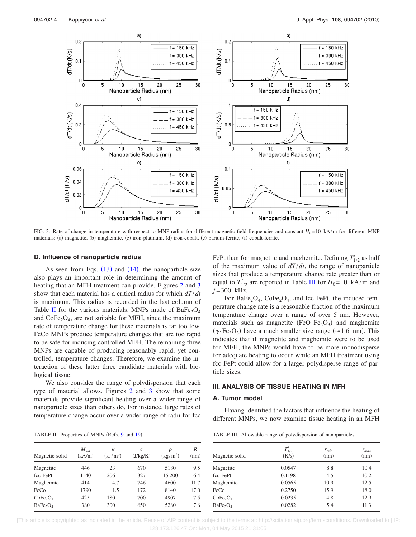<span id="page-4-0"></span>

FIG. 3. Rate of change in temperature with respect to MNP radius for different magnetic field frequencies and constant *H*<sub>0</sub>=10 kA/m for different MNP materials: (a) magnetite, (b) maghemite, (c) iron-platinum, (d) iron-cobalt, (e) barium-ferrite, (f) cobalt-ferrite.

#### **D. Influence of nanoparticle radius**

As seen from Eqs.  $(13)$  $(13)$  $(13)$  and  $(14)$  $(14)$  $(14)$ , the nanoparticle size also plays an important role in determining the amount of heating that an MFH treatment can provide. Figures [2](#page-3-3) and [3](#page-4-0) show that each material has a critical radius for which *dT*/*dt* is maximum. This radius is recorded in the last column of Table [II](#page-4-1) for the various materials. MNPs made of  $BaFe<sub>2</sub>O<sub>4</sub>$ and  $\text{CoFe}_2\text{O}_4$ , are not suitable for MFH, since the maximum rate of temperature change for these materials is far too low. FeCo MNPs produce temperature changes that are too rapid to be safe for inducing controlled MFH. The remaining three MNPs are capable of producing reasonably rapid, yet controlled, temperature changes. Therefore, we examine the interaction of these latter three candidate materials with biological tissue.

We also consider the range of polydispersion that each type of material allows. Figures [2](#page-3-3) and [3](#page-4-0) show that some materials provide significant heating over a wider range of nanoparticle sizes than others do. For instance, large rates of temperature change occur over a wider range of radii for fcc

<span id="page-4-1"></span>TABLE II. Properties of MNPs ( Refs. [9](#page-8-5) and [19](#page-8-14)).

| TABLE II. Properties of MNPs (Refs. 9 and 19). |                 |                                   |                                   |           |  |  |  |  |
|------------------------------------------------|-----------------|-----------------------------------|-----------------------------------|-----------|--|--|--|--|
| $M_{sat}$<br>(kA/m)                            | к<br>$(kJ/m^3)$ | $\mathcal{C}_{0}^{2}$<br>(J/kg/K) | $\boldsymbol{\rho}$<br>$(kg/m^3)$ | R<br>(nm) |  |  |  |  |
| 446                                            | 23              | 670                               | 5180                              | 9.5       |  |  |  |  |
| 1140                                           | 206             | 327                               | 15 200                            | 6.4       |  |  |  |  |
| 414                                            | 4.7             | 746                               | 4600                              | 11.7      |  |  |  |  |
| 1790                                           | 1.5             | 172                               | 8140                              | 17.0      |  |  |  |  |
| 425                                            | 180             | 700                               | 4907                              | 7.5       |  |  |  |  |
| 380                                            | 300             | 650                               | 5280                              | 7.6       |  |  |  |  |
|                                                |                 |                                   |                                   |           |  |  |  |  |

FePt than for magnetite and maghemite. Defining  $T'_{1/2}$  as half of the maximum value of *dT*/*dt*, the range of nanoparticle sizes that produce a temperature change rate greater than or equal to  $T'_{1/2}$  are reported in Table [III](#page-4-2) for  $H_0 = 10 \text{ kA/m}$  and *f* = 300 kHz.

For BaFe<sub>2</sub>O<sub>4</sub>, CoFe<sub>2</sub>O<sub>4</sub>, and fcc FePt, the induced temperature change rate is a reasonable fraction of the maximum temperature change over a range of over 5 nm. However, materials such as magnetite  $(FeO·Fe<sub>2</sub>O<sub>3</sub>)$  and maghemite  $(\gamma$ ·Fe<sub>2</sub>O<sub>3</sub>) have a much smaller size range ( $\approx$ 1.6 nm). This indicates that if magnetite and maghemite were to be used for MFH, the MNPs would have to be more monodisperse for adequate heating to occur while an MFH treatment using fcc FePt could allow for a larger polydisperse range of particle sizes.

#### **III. ANALYSIS OF TISSUE HEATING IN MFH**

#### **A. Tumor model**

Having identified the factors that influence the heating of different MNPs, we now examine tissue heating in an MFH

<span id="page-4-2"></span>TABLE III. Allowable range of polydispersion of nanoparticles.

| Magnetic solid                   | $T'_{1/2}$<br>(K/s) | $r_{min}$<br>(nm) | $r_{max}$<br>(nm) |
|----------------------------------|---------------------|-------------------|-------------------|
| Magnetite                        | 0.0547              | 8.8               | 10.4              |
| fcc FePt                         | 0.1198              | 4.5               | 10.2              |
| Maghemite                        | 0.0565              | 10.9              | 12.5              |
| FeCo                             | 0.2750              | 15.9              | 18.0              |
| CoFe <sub>2</sub> O <sub>4</sub> | 0.0235              | 4.8               | 12.9              |
| BaFe <sub>2</sub> O <sub>4</sub> | 0.0282              | 5.4               | 11.3              |
|                                  |                     |                   |                   |

 [This article is copyrighted as indicated in the article. Reuse of AIP content is subject to the terms at: http://scitation.aip.org/termsconditions. Downloaded to ] IP: 128.173.126.47 On: Mon, 04 May 2015 21:31:05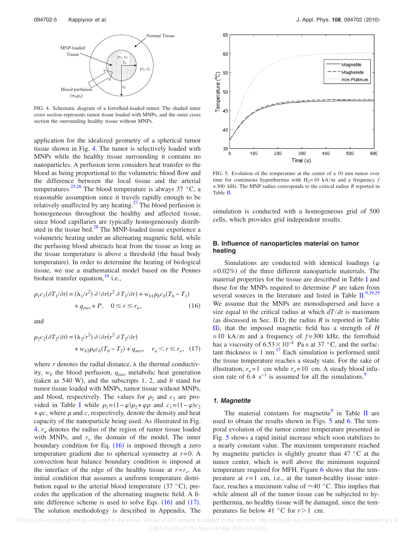<span id="page-5-0"></span>

FIG. 4. Schematic diagram of a ferrofluid-loaded tumor. The shaded inner cross section represents tumor tissue loaded with MNPs, and the outer cross section the surrounding healthy tissue without MNPs.

application for the idealized geometry of a spherical tumor tissue shown in Fig. [4.](#page-5-0) The tumor is selectively loaded with MNPs while the healthy tissue surrounding it contains no nanoparticles. A perfusion term considers heat transfer to the blood as being proportional to the volumetric blood flow and the difference between the local tissue and the arterial temperatures.<sup>25,[26](#page-8-22)</sup> The blood temperature is always 37 °C, a reasonable assumption since it travels rapidly enough to be relatively unaffected by any heating. $^{27}$  The blood perfusion is homogeneous throughout the healthy and affected tissue, since blood capillaries are typically homogeneously distributed in the tissue bed. $28$  The MNP-loaded tissue experience a volumetric heating under an alternating magnetic field, while the perfusing blood abstracts heat from the tissue as long as the tissue temperature is above a threshold (the basal body temperature). In order to determine the heating of biological tissue, we use a mathematical model based on the Pennes bioheat transfer equation,  $\frac{19}{2}$  i.e.,

<span id="page-5-1"></span>
$$
\rho_1 c_1 (\partial T_1 / \partial t) = (\lambda_1 / r^2) \partial / \partial r (r^2 \partial T_1 / \partial r) + w_{b1} \rho_b c_b (T_b - T_1)
$$
  
+  $q_{met} + P, \quad 0 \le r \le r_a,$  (16)

and

<span id="page-5-2"></span>
$$
\rho_2 c_2(\partial T_2/\partial t) = (\lambda_2/r^2) \partial/\partial r(r^2 \partial T_2/\partial r)
$$
  
+  $w_{b2}\rho_b c_b(T_b - T_2) + q_{met}$ ,  $r_a < r \le r_o$ , (17)

where  $r$  denotes the radial distance,  $\lambda$  the thermal conductivity,  $w_b$  the blood perfusion,  $q_{met}$  metabolic heat generation (taken as 540 W), and the subscripts 1, 2, and *b* stand for tumor tissue loaded with MNPs, tumor tissue without MNPs, and blood, respectively. The values for  $\rho_2$  and  $c_2$  are pro-vided in Table [I](#page-2-4) while  $\rho_1 = (1 - \varphi)\rho_2 + \varphi\rho$  and  $c_1 = (1 - \varphi)c_2$  $+ \varphi c$ , where  $\rho$  and *c*, respectively, denote the density and heat capacity of the nanoparticle being used. As illustrated in Fig. [4,](#page-5-0) *ra* denotes the radius of the region of tumor tissue loaded with MNPs, and  $r<sub>o</sub>$  the domain of the model. The inner boundary condition for Eq. ([16](#page-5-1)) is imposed through a zero temperature gradient due to spherical symmetry at *r*=0. A convection heat balance boundary condition is imposed at the interface of the edge of the healthy tissue at  $r=r_0$ . An initial condition that assumes a uniform temperature distribution equal to the arterial blood temperature  $(37 \degree C)$ , precedes the application of the alternating magnetic field. A finite difference scheme is used to solve Eqs.  $(16)$  $(16)$  $(16)$  and  $(17)$  $(17)$  $(17)$ . The solution methodology is described in Appendix. The

<span id="page-5-3"></span>

FIG. 5. Evolution of the temperature at the center of a 10 mm tumor over time for continuous hyperthermia with  $H_0 = 10 \text{ kA/m}$  and a frequency *f* = 300 kHz. The MNP radius corresponds to the critical radius *R* reported in Table [II.](#page-4-1)

simulation is conducted with a homogeneous grid of 500 cells, which provides grid independent results.

#### **B. Influence of nanoparticles material on tumor heating**

Simulations are conducted with identical loadings ( $\varphi$  $= 0.02\%$ ) of the three different nanoparticle materials. The material properties for the tissue are described in Table [I](#page-2-4) and those for the MNPs required to determine *P* are taken from several sources in the literature and listed in Table  $\mathbb{H}^{9,19,29}$  $\mathbb{H}^{9,19,29}$  $\mathbb{H}^{9,19,29}$  $\mathbb{H}^{9,19,29}$  $\mathbb{H}^{9,19,29}$ We assume that the MNPs are monodispersed and have a size equal to the critical radius at which *dT*/*dt* is maximum (as discussed in Sec. II D; the radius  $R$  is reported in Table [II](#page-4-1), that the imposed magnetic field has a strength of *H*  $= 10$  kA/m and a frequency of  $f = 300$  kHz, the ferrofluid has a viscosity of  $6.53 \times 10^{-4}$  Pa s at 37 °C, and the surfactant thickness is 1 nm. $^{17}$  Each simulation is performed until the tissue temperature reaches a steady state. For the sake of illustration,  $r_a = 1$  cm while  $r_o = 10$  cm. A steady blood infusion rate of 6.4 s<sup>-1</sup> is assumed for all the simulations.<sup>9</sup>

#### *1. Magnetite*

The material constants for magnetite $9$  in Table [II](#page-4-1) are used to obtain the results shown in Figs. [5](#page-5-3) and [6.](#page-6-0) The temporal evolution of the tumor center temperature presented in Fig. [5](#page-5-3) shows a rapid initial increase which soon stabilizes to a nearly constant value. The maximum temperature reached by magnetite particles is slightly greater than 47 °C at the tumor center, which is well above the minimum required temperature required for MFH. Figure [6](#page-6-0) shows that the temperature at  $r=1$  cm, i.e., at the tumor-healthy tissue interface, reaches a maximum value of  $\approx$  40 °C. This implies that while almost all of the tumor tissue can be subjected to hyperthermia, no healthy tissue will be damaged, since the temperatures lie below 41  $\degree$ C for  $r > 1$  cm.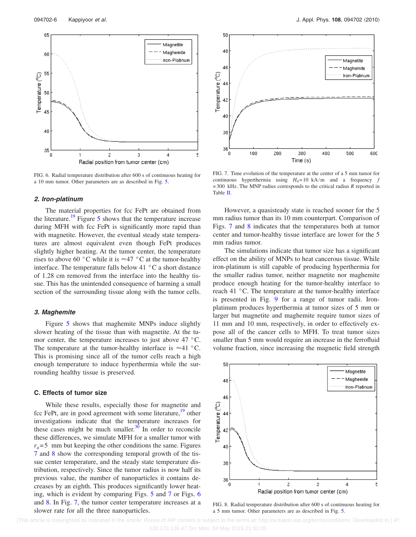<span id="page-6-0"></span>

FIG. 6. Radial temperature distribution after 600 s of continuous heating for a 10 mm tumor. Other parameters are as described in Fig. [5.](#page-5-3)

#### *2. Iron-platinum*

The material properties for fcc FePt are obtained from the literature.<sup>19</sup> Figure [5](#page-5-3) shows that the temperature increase during MFH with fcc FePt is significantly more rapid than with magnetite. However, the eventual steady state temperatures are almost equivalent even though FePt produces slightly higher heating. At the tumor center, the temperature rises to above 60 °C while it is  $\approx$  47 °C at the tumor-healthy interface. The temperature falls below 41 °C a short distance of 1.28 cm removed from the interface into the healthy tissue. This has the unintended consequence of harming a small section of the surrounding tissue along with the tumor cells.

#### *3. Maghemite*

Figure [5](#page-5-3) shows that maghemite MNPs induce slightly slower heating of the tissue than with magnetite. At the tumor center, the temperature increases to just above 47 °C. The temperature at the tumor-healthy interface is  $\approx$ 41 °C. This is promising since all of the tumor cells reach a high enough temperature to induce hyperthermia while the surrounding healthy tissue is preserved.

#### **C. Effects of tumor size**

While these results, especially those for magnetite and fcc FePt, are in good agreement with some literature,<sup>19</sup> other investigations indicate that the temperature increases for these cases might be much smaller. $3\overline{0}$  In order to reconcile these differences, we simulate MFH for a smaller tumor with  $r_a = 5$  mm but keeping the other conditions the same. Figures [7](#page-6-1) and [8](#page-6-2) show the corresponding temporal growth of the tissue center temperature, and the steady state temperature distribution, respectively. Since the tumor radius is now half its previous value, the number of nanoparticles it contains decreases by an eighth. This produces significantly lower heating, which is evident by comparing Figs. [5](#page-5-3) and [7](#page-6-1) or Figs. [6](#page-6-0) and [8.](#page-6-2) In Fig. [7,](#page-6-1) the tumor center temperature increases at a slower rate for all the three nanoparticles.

<span id="page-6-1"></span>

FIG. 7. Time evolution of the temperature at the center of a 5 mm tumor for continuous hyperthermia using  $H_0 = 10 \text{ kA/m}$  and a frequency *f* = 300 kHz. The MNP radius corresponds to the critical radius *R* reported in Table [II.](#page-4-1)

However, a quasisteady state is reached sooner for the 5 mm radius tumor than its 10 mm counterpart. Comparison of Figs. [7](#page-6-1) and [8](#page-6-2) indicates that the temperatures both at tumor center and tumor-healthy tissue interface are lower for the 5 mm radius tumor.

The simulations indicate that tumor size has a significant effect on the ability of MNPs to heat cancerous tissue. While iron-platinum is still capable of producing hyperthermia for the smaller radius tumor, neither magnetite nor maghemite produce enough heating for the tumor-healthy interface to reach 41 °C. The temperature at the tumor-healthy interface is presented in Fig. [9](#page-7-0) for a range of tumor radii. Ironplatinum produces hyperthermia at tumor sizes of 5 mm or larger but magnetite and maghemite require tumor sizes of 11 mm and 10 mm, respectively, in order to effectively expose all of the cancer cells to MFH. To treat tumor sizes smaller than 5 mm would require an increase in the ferrofluid volume fraction, since increasing the magnetic field strength

<span id="page-6-2"></span>

FIG. 8. Radial temperature distribution after 600 s of continuous heating for a 5 mm tumor. Other parameters are as described in Fig. [5.](#page-5-3)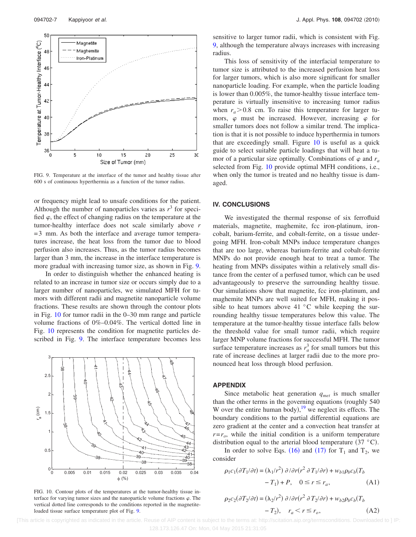<span id="page-7-0"></span>

FIG. 9. Temperature at the interface of the tumor and healthy tissue after 600 s of continuous hyperthermia as a function of the tumor radius.

or frequency might lead to unsafe conditions for the patient. Although the number of nanoparticles varies as  $r<sup>3</sup>$  for specified  $\varphi$ , the effect of changing radius on the temperature at the tumor-healthy interface does not scale similarly above *r* = 3 mm. As both the interface and average tumor temperatures increase, the heat loss from the tumor due to blood perfusion also increases. Thus, as the tumor radius becomes larger than 3 mm, the increase in the interface temperature is more gradual with increasing tumor size, as shown in Fig. [9.](#page-7-0)

In order to distinguish whether the enhanced heating is related to an increase in tumor size or occurs simply due to a larger number of nanoparticles, we simulated MFH for tumors with different radii and magnetite nanoparticle volume fractions. These results are shown through the contour plots in Fig. [10](#page-7-1) for tumor radii in the 0–30 mm range and particle volume fractions of 0%–0.04%. The vertical dotted line in Fig. [10](#page-7-1) represents the condition for magnetite particles described in Fig. [9.](#page-7-0) The interface temperature becomes less

<span id="page-7-1"></span>

FIG. 10. Contour plots of the temperatures at the tumor-healthy tissue interface for varying tumor sizes and the nanoparticle volume fractions  $\varphi$ . The vertical dotted line corresponds to the conditions reported in the magnetiteloaded tissue surface temperature plot of Fig. [9.](#page-7-0)

sensitive to larger tumor radii, which is consistent with Fig. [9,](#page-7-0) although the temperature always increases with increasing radius.

This loss of sensitivity of the interfacial temperature to tumor size is attributed to the increased perfusion heat loss for larger tumors, which is also more significant for smaller nanoparticle loading. For example, when the particle loading is lower than 0.005%, the tumor-healthy tissue interface temperature is virtually insensitive to increasing tumor radius when  $r_a > 0.8$  cm. To raise this temperature for larger tumors,  $\varphi$  must be increased. However, increasing  $\varphi$  for smaller tumors does not follow a similar trend. The implication is that it is not possible to induce hyperthermia in tumors that are exceedingly small. Figure  $10$  is useful as a quick guide to select suitable particle loadings that will heat a tumor of a particular size optimally. Combinations of  $\varphi$  and  $r_a$ selected from Fig. [10](#page-7-1) provide optimal MFH conditions, i.e., when only the tumor is treated and no healthy tissue is damaged.

#### **IV. CONCLUSIONS**

We investigated the thermal response of six ferrofluid materials, magnetite, maghemite, fcc iron-platinum, ironcobalt, barium-ferrite, and cobalt-ferrite, on a tissue undergoing MFH. Iron-cobalt MNPs induce temperature changes that are too large, whereas barium-ferrite and cobalt-ferrite MNPs do not provide enough heat to treat a tumor. The heating from MNPs dissipates within a relatively small distance from the center of a perfused tumor, which can be used advantageously to preserve the surrounding healthy tissue. Our simulations show that magnetite, fcc iron-platinum, and maghemite MNPs are well suited for MFH, making it possible to heat tumors above 41  $\degree$ C while keeping the surrounding healthy tissue temperatures below this value. The temperature at the tumor-healthy tissue interface falls below the threshold value for small tumor radii, which require larger MNP volume fractions for successful MFH. The tumor surface temperature increases as  $r_a^3$  for small tumors but this rate of increase declines at larger radii due to the more pronounced heat loss through blood perfusion.

#### **APPENDIX**

Since metabolic heat generation *qmet* is much smaller than the other terms in the governing equations (roughly 540) W over the entire human body), $19$  we neglect its effects. The boundary conditions to the partial differential equations are zero gradient at the center and a convection heat transfer at  $r=r_0$ , while the initial condition is a uniform temperature distribution equal to the arterial blood temperature  $(37 \text{ °C})$ .

In order to solve Eqs. ([16](#page-5-1)) and ([17](#page-5-2)) for  $T_1$  and  $T_2$ , we consider

<span id="page-7-2"></span>
$$
\rho_1 c_1(\partial T_1/\partial t) = (\lambda_1/r^2) \partial/\partial r(r^2 \partial T_1/\partial r) + w_{b1}\rho_b c_b(T_b - T_1) + P, \quad 0 \le r \le r_a,
$$
\n(A1)

<span id="page-7-3"></span>
$$
\rho_2 c_2(\partial T_2/\partial t) = (\lambda_2/r^2) \partial/\partial r(r^2 \partial T_2/\partial r) + w_{b2}\rho_b c_b(T_b - T_2), \quad r_a < r \le r_o,\tag{A2}
$$

 [This article is copyrighted as indicated in the article. Reuse of AIP content is subject to the terms at: http://scitation.aip.org/termsconditions. Downloaded to ] IP: 128.173.126.47 On: Mon, 04 May 2015 21:31:05